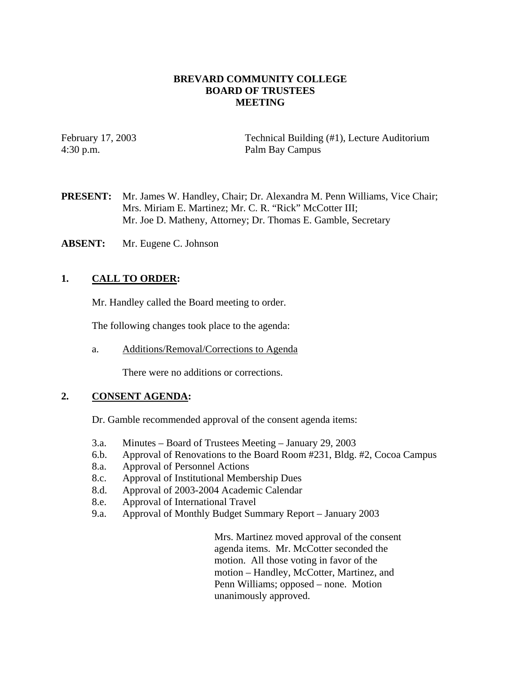### **BREVARD COMMUNITY COLLEGE BOARD OF TRUSTEES MEETING**

February 17, 2003 Technical Building (#1), Lecture Auditorium 4:30 p.m. Palm Bay Campus

**PRESENT:** Mr. James W. Handley, Chair; Dr. Alexandra M. Penn Williams, Vice Chair; Mrs. Miriam E. Martinez; Mr. C. R. "Rick" McCotter III; Mr. Joe D. Matheny, Attorney; Dr. Thomas E. Gamble, Secretary

**ABSENT:** Mr. Eugene C. Johnson

# **1. CALL TO ORDER:**

Mr. Handley called the Board meeting to order.

The following changes took place to the agenda:

a. Additions/Removal/Corrections to Agenda

There were no additions or corrections.

# **2. CONSENT AGENDA:**

Dr. Gamble recommended approval of the consent agenda items:

- 3.a. Minutes Board of Trustees Meeting January 29, 2003
- 6.b. Approval of Renovations to the Board Room #231, Bldg. #2, Cocoa Campus
- 8.a. Approval of Personnel Actions
- 8.c. Approval of Institutional Membership Dues
- 8.d. Approval of 2003-2004 Academic Calendar
- 8.e. Approval of International Travel
- 9.a. Approval of Monthly Budget Summary Report January 2003

Mrs. Martinez moved approval of the consent agenda items. Mr. McCotter seconded the motion. All those voting in favor of the motion – Handley, McCotter, Martinez, and Penn Williams; opposed – none. Motion unanimously approved.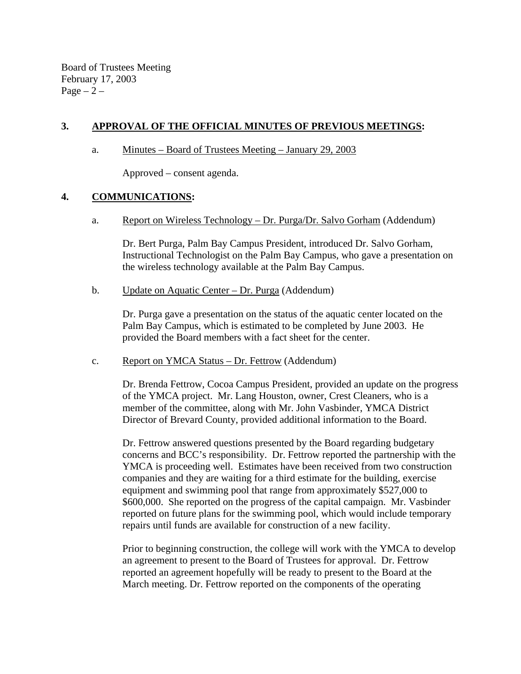Board of Trustees Meeting February 17, 2003 Page  $-2$  –

# **3. APPROVAL OF THE OFFICIAL MINUTES OF PREVIOUS MEETINGS:**

a. Minutes – Board of Trustees Meeting – January 29, 2003

Approved – consent agenda.

### **4. COMMUNICATIONS:**

a. Report on Wireless Technology – Dr. Purga/Dr. Salvo Gorham (Addendum)

Dr. Bert Purga, Palm Bay Campus President, introduced Dr. Salvo Gorham, Instructional Technologist on the Palm Bay Campus, who gave a presentation on the wireless technology available at the Palm Bay Campus.

b. Update on Aquatic Center – Dr. Purga (Addendum)

 Dr. Purga gave a presentation on the status of the aquatic center located on the Palm Bay Campus, which is estimated to be completed by June 2003. He provided the Board members with a fact sheet for the center.

c. Report on YMCA Status – Dr. Fettrow (Addendum)

Dr. Brenda Fettrow, Cocoa Campus President, provided an update on the progress of the YMCA project. Mr. Lang Houston, owner, Crest Cleaners, who is a member of the committee, along with Mr. John Vasbinder, YMCA District Director of Brevard County, provided additional information to the Board.

Dr. Fettrow answered questions presented by the Board regarding budgetary concerns and BCC's responsibility. Dr. Fettrow reported the partnership with the YMCA is proceeding well. Estimates have been received from two construction companies and they are waiting for a third estimate for the building, exercise equipment and swimming pool that range from approximately \$527,000 to \$600,000. She reported on the progress of the capital campaign. Mr. Vasbinder reported on future plans for the swimming pool, which would include temporary repairs until funds are available for construction of a new facility.

Prior to beginning construction, the college will work with the YMCA to develop an agreement to present to the Board of Trustees for approval. Dr. Fettrow reported an agreement hopefully will be ready to present to the Board at the March meeting. Dr. Fettrow reported on the components of the operating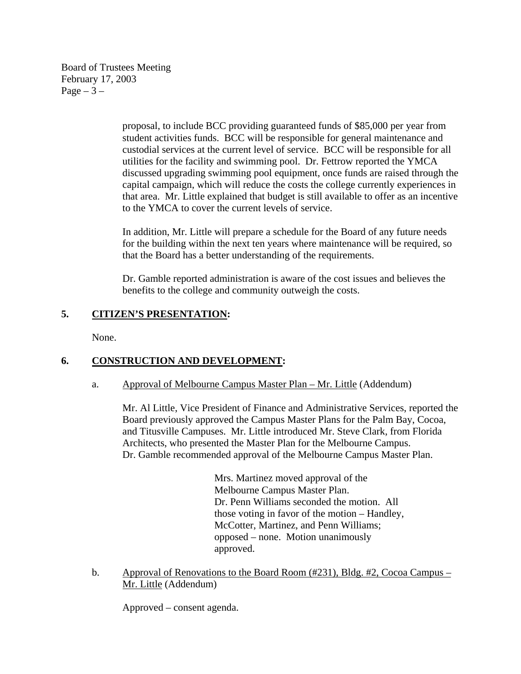Board of Trustees Meeting February 17, 2003 Page  $-3-$ 

> proposal, to include BCC providing guaranteed funds of \$85,000 per year from student activities funds. BCC will be responsible for general maintenance and custodial services at the current level of service. BCC will be responsible for all utilities for the facility and swimming pool. Dr. Fettrow reported the YMCA discussed upgrading swimming pool equipment, once funds are raised through the capital campaign, which will reduce the costs the college currently experiences in that area. Mr. Little explained that budget is still available to offer as an incentive to the YMCA to cover the current levels of service.

In addition, Mr. Little will prepare a schedule for the Board of any future needs for the building within the next ten years where maintenance will be required, so that the Board has a better understanding of the requirements.

Dr. Gamble reported administration is aware of the cost issues and believes the benefits to the college and community outweigh the costs.

# **5. CITIZEN'S PRESENTATION:**

None.

# **6. CONSTRUCTION AND DEVELOPMENT:**

#### a. Approval of Melbourne Campus Master Plan – Mr. Little (Addendum)

Mr. Al Little, Vice President of Finance and Administrative Services, reported the Board previously approved the Campus Master Plans for the Palm Bay, Cocoa, and Titusville Campuses. Mr. Little introduced Mr. Steve Clark, from Florida Architects, who presented the Master Plan for the Melbourne Campus. Dr. Gamble recommended approval of the Melbourne Campus Master Plan.

> Mrs. Martinez moved approval of the Melbourne Campus Master Plan. Dr. Penn Williams seconded the motion. All those voting in favor of the motion – Handley, McCotter, Martinez, and Penn Williams; opposed – none. Motion unanimously approved.

b. Approval of Renovations to the Board Room (#231), Bldg. #2, Cocoa Campus – Mr. Little (Addendum)

Approved – consent agenda.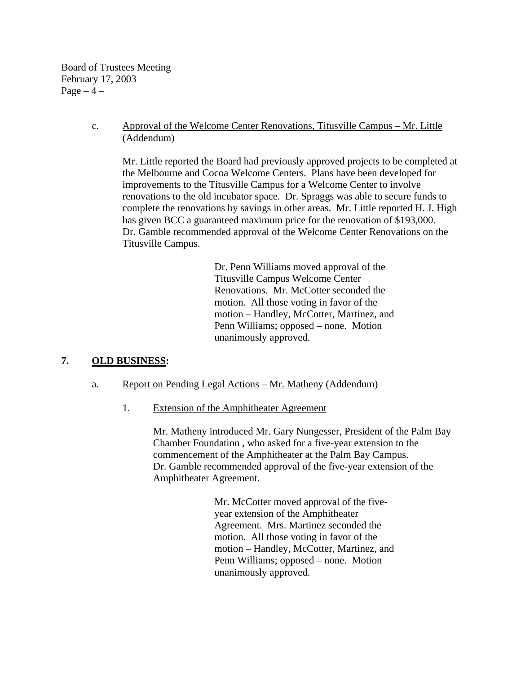Board of Trustees Meeting February 17, 2003 Page  $-4$  –

> c. Approval of the Welcome Center Renovations, Titusville Campus – Mr. Little (Addendum)

 Mr. Little reported the Board had previously approved projects to be completed at the Melbourne and Cocoa Welcome Centers. Plans have been developed for improvements to the Titusville Campus for a Welcome Center to involve renovations to the old incubator space. Dr. Spraggs was able to secure funds to complete the renovations by savings in other areas. Mr. Little reported H. J. High has given BCC a guaranteed maximum price for the renovation of \$193,000. Dr. Gamble recommended approval of the Welcome Center Renovations on the Titusville Campus.

> Dr. Penn Williams moved approval of the Titusville Campus Welcome Center Renovations. Mr. McCotter seconded the motion. All those voting in favor of the motion – Handley, McCotter, Martinez, and Penn Williams; opposed – none. Motion unanimously approved.

# **7. OLD BUSINESS:**

#### a. Report on Pending Legal Actions – Mr. Matheny (Addendum)

1. Extension of the Amphitheater Agreement

Mr. Matheny introduced Mr. Gary Nungesser, President of the Palm Bay Chamber Foundation , who asked for a five-year extension to the commencement of the Amphitheater at the Palm Bay Campus. Dr. Gamble recommended approval of the five-year extension of the Amphitheater Agreement.

> Mr. McCotter moved approval of the fiveyear extension of the Amphitheater Agreement. Mrs. Martinez seconded the motion. All those voting in favor of the motion – Handley, McCotter, Martinez, and Penn Williams; opposed – none. Motion unanimously approved.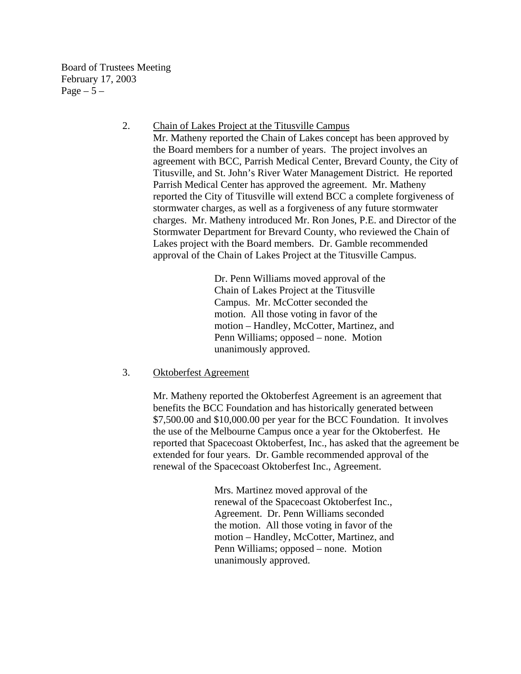Board of Trustees Meeting February 17, 2003 Page  $-5-$ 

> 2. Chain of Lakes Project at the Titusville Campus Mr. Matheny reported the Chain of Lakes concept has been approved by the Board members for a number of years. The project involves an agreement with BCC, Parrish Medical Center, Brevard County, the City of Titusville, and St. John's River Water Management District. He reported Parrish Medical Center has approved the agreement. Mr. Matheny reported the City of Titusville will extend BCC a complete forgiveness of stormwater charges, as well as a forgiveness of any future stormwater charges. Mr. Matheny introduced Mr. Ron Jones, P.E. and Director of the Stormwater Department for Brevard County, who reviewed the Chain of Lakes project with the Board members. Dr. Gamble recommended approval of the Chain of Lakes Project at the Titusville Campus.

> > Dr. Penn Williams moved approval of the Chain of Lakes Project at the Titusville Campus. Mr. McCotter seconded the motion. All those voting in favor of the motion – Handley, McCotter, Martinez, and Penn Williams; opposed – none. Motion unanimously approved.

3. Oktoberfest Agreement

Mr. Matheny reported the Oktoberfest Agreement is an agreement that benefits the BCC Foundation and has historically generated between \$7,500.00 and \$10,000.00 per year for the BCC Foundation. It involves the use of the Melbourne Campus once a year for the Oktoberfest. He reported that Spacecoast Oktoberfest, Inc., has asked that the agreement be extended for four years. Dr. Gamble recommended approval of the renewal of the Spacecoast Oktoberfest Inc., Agreement.

> Mrs. Martinez moved approval of the renewal of the Spacecoast Oktoberfest Inc., Agreement. Dr. Penn Williams seconded the motion. All those voting in favor of the motion – Handley, McCotter, Martinez, and Penn Williams; opposed – none. Motion unanimously approved.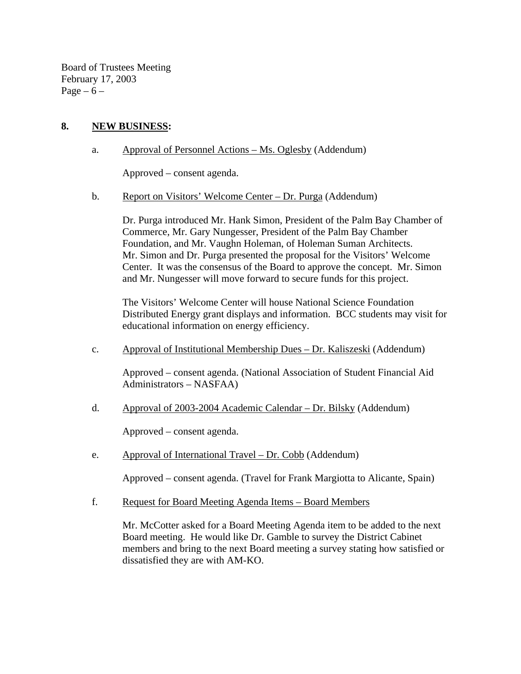Board of Trustees Meeting February 17, 2003 Page –  $6$  –

# **8. NEW BUSINESS:**

a. Approval of Personnel Actions – Ms. Oglesby (Addendum)

Approved – consent agenda.

b. Report on Visitors' Welcome Center – Dr. Purga (Addendum)

Dr. Purga introduced Mr. Hank Simon, President of the Palm Bay Chamber of Commerce, Mr. Gary Nungesser, President of the Palm Bay Chamber Foundation, and Mr. Vaughn Holeman, of Holeman Suman Architects. Mr. Simon and Dr. Purga presented the proposal for the Visitors' Welcome Center. It was the consensus of the Board to approve the concept. Mr. Simon and Mr. Nungesser will move forward to secure funds for this project.

The Visitors' Welcome Center will house National Science Foundation Distributed Energy grant displays and information. BCC students may visit for educational information on energy efficiency.

c. Approval of Institutional Membership Dues – Dr. Kaliszeski (Addendum)

Approved – consent agenda. (National Association of Student Financial Aid Administrators – NASFAA)

d. Approval of 2003-2004 Academic Calendar – Dr. Bilsky (Addendum)

Approved – consent agenda.

e. Approval of International Travel – Dr. Cobb (Addendum)

Approved – consent agenda. (Travel for Frank Margiotta to Alicante, Spain)

f. Request for Board Meeting Agenda Items – Board Members

Mr. McCotter asked for a Board Meeting Agenda item to be added to the next Board meeting. He would like Dr. Gamble to survey the District Cabinet members and bring to the next Board meeting a survey stating how satisfied or dissatisfied they are with AM-KO.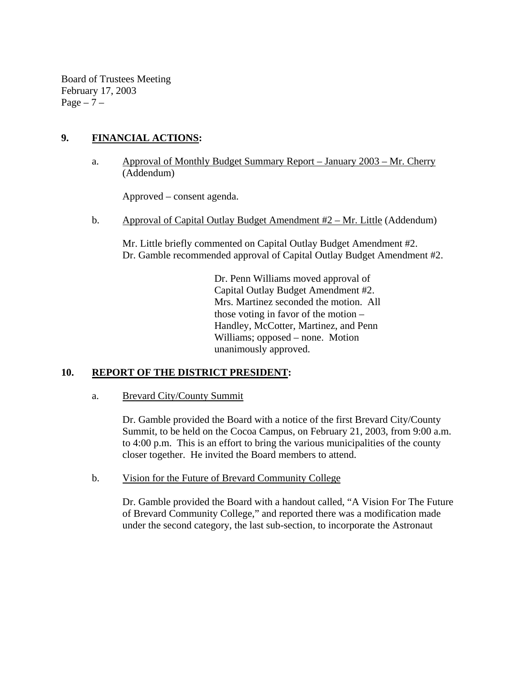Board of Trustees Meeting February 17, 2003 Page  $-7$  –

# **9. FINANCIAL ACTIONS:**

a. Approval of Monthly Budget Summary Report – January 2003 – Mr. Cherry (Addendum)

Approved – consent agenda.

b. Approval of Capital Outlay Budget Amendment #2 – Mr. Little (Addendum)

 Mr. Little briefly commented on Capital Outlay Budget Amendment #2. Dr. Gamble recommended approval of Capital Outlay Budget Amendment #2.

> Dr. Penn Williams moved approval of Capital Outlay Budget Amendment #2. Mrs. Martinez seconded the motion. All those voting in favor of the motion – Handley, McCotter, Martinez, and Penn Williams; opposed – none. Motion unanimously approved.

# **10. REPORT OF THE DISTRICT PRESIDENT:**

a. Brevard City/County Summit

Dr. Gamble provided the Board with a notice of the first Brevard City/County Summit, to be held on the Cocoa Campus, on February 21, 2003, from 9:00 a.m. to 4:00 p.m. This is an effort to bring the various municipalities of the county closer together. He invited the Board members to attend.

b. Vision for the Future of Brevard Community College

Dr. Gamble provided the Board with a handout called, "A Vision For The Future of Brevard Community College," and reported there was a modification made under the second category, the last sub-section, to incorporate the Astronaut